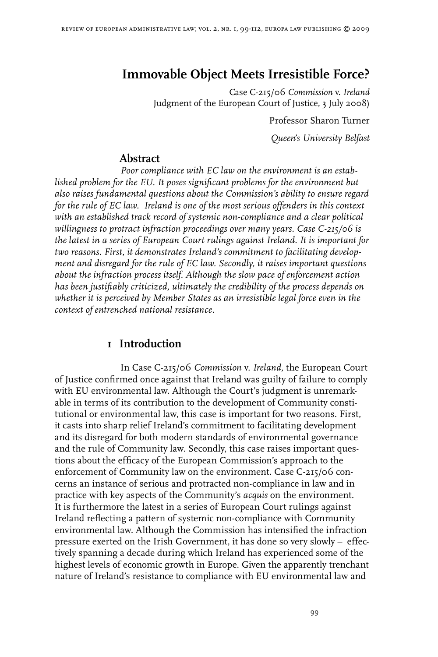# **Immovable Object Meets Irresistible Force?**

Case C-215/06 *Commission* v. *Ireland* Judgment of the European Court of Justice, 3 July 2008)

Professor Sharon Turner

*Queen's University Belfast*

#### **Abstract**

*Poor compliance with EC law on the environment is an established problem for the EU. It poses significant problems for the environment but also raises fundamental questions about the Commission's ability to ensure regard for the rule of EC law. Ireland is one of the most serious offenders in this context with an established track record of systemic non-compliance and a clear political willingness to protract infraction proceedings over many years. Case C-215/06 is the latest in a series of European Court rulings against Ireland. It is important for two reasons. First, it demonstrates Ireland's commitment to facilitating development and disregard for the rule of EC law. Secondly, it raises important questions about the infraction process itself. Although the slow pace of enforcement action has been justifiably criticized, ultimately the credibility of the process depends on whether it is perceived by Member States as an irresistible legal force even in the context of entrenched national resistance.* 

#### **1 Introduction**

In Case C-215/06 *Commission* v. *Ireland,* the European Court of Justice confirmed once against that Ireland was guilty of failure to comply with EU environmental law. Although the Court's judgment is unremarkable in terms of its contribution to the development of Community constitutional or environmental law, this case is important for two reasons. First, it casts into sharp relief Ireland's commitment to facilitating development and its disregard for both modern standards of environmental governance and the rule of Community law. Secondly, this case raises important questions about the efficacy of the European Commission's approach to the enforcement of Community law on the environment. Case C-215/06 concerns an instance of serious and protracted non-compliance in law and in practice with key aspects of the Community's *acquis* on the environment. It is furthermore the latest in a series of European Court rulings against Ireland reflecting a pattern of systemic non-compliance with Community environmental law. Although the Commission has intensified the infraction pressure exerted on the Irish Government, it has done so very slowly – effectively spanning a decade during which Ireland has experienced some of the highest levels of economic growth in Europe. Given the apparently trenchant nature of Ireland's resistance to compliance with EU environmental law and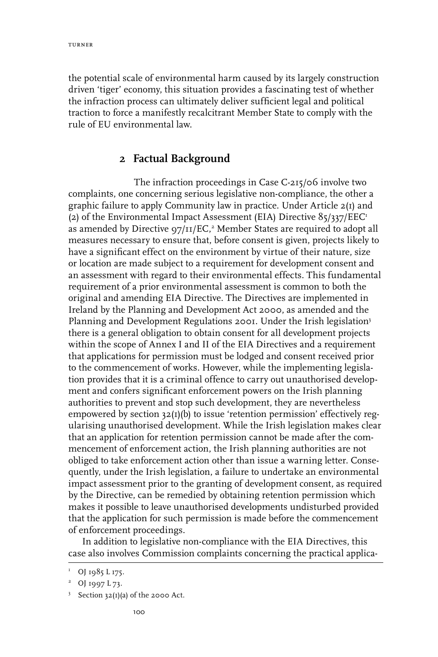the potential scale of environmental harm caused by its largely construction driven 'tiger' economy, this situation provides a fascinating test of whether the infraction process can ultimately deliver sufficient legal and political traction to force a manifestly recalcitrant Member State to comply with the rule of EU environmental law.

### **2 Factual Background**

The infraction proceedings in Case C-215/06 involve two complaints, one concerning serious legislative non-compliance, the other a graphic failure to apply Community law in practice. Under Article 2(1) and (2) of the Environmental Impact Assessment (EIA) Directive  $85/337/EEC<sup>T</sup>$ as amended by Directive 97/11/EC, $^{\circ}$  Member States are required to adopt all measures necessary to ensure that, before consent is given, projects likely to have a significant effect on the environment by virtue of their nature, size or location are made subject to a requirement for development consent and an assessment with regard to their environmental effects. This fundamental requirement of a prior environmental assessment is common to both the original and amending EIA Directive. The Directives are implemented in Ireland by the Planning and Development Act 2000, as amended and the Planning and Development Regulations 2001. Under the Irish legislation<sup>3</sup> there is a general obligation to obtain consent for all development projects within the scope of Annex I and II of the EIA Directives and a requirement that applications for permission must be lodged and consent received prior to the commencement of works. However, while the implementing legislation provides that it is a criminal offence to carry out unauthorised development and confers significant enforcement powers on the Irish planning authorities to prevent and stop such development, they are nevertheless empowered by section  $32(t)$  (b) to issue 'retention permission' effectively regularising unauthorised development. While the Irish legislation makes clear that an application for retention permission cannot be made after the commencement of enforcement action, the Irish planning authorities are not obliged to take enforcement action other than issue a warning letter. Consequently, under the Irish legislation, a failure to undertake an environmental impact assessment prior to the granting of development consent, as required by the Directive, can be remedied by obtaining retention permission which makes it possible to leave unauthorised developments undisturbed provided that the application for such permission is made before the commencement of enforcement proceedings.

In addition to legislative non-compliance with the EIA Directives, this case also involves Commission complaints concerning the practical applica-

<sup>1</sup> OJ 1985 L 175.

 $^{2}$  OJ 1997 L 73.

 $3$  Section 32(1)(a) of the 2000 Act.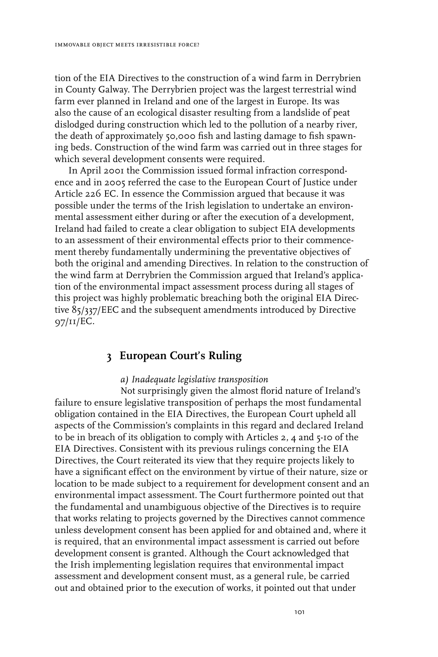tion of the EIA Directives to the construction of a wind farm in Derrybrien in County Galway. The Derrybrien project was the largest terrestrial wind farm ever planned in Ireland and one of the largest in Europe. Its was also the cause of an ecological disaster resulting from a landslide of peat dislodged during construction which led to the pollution of a nearby river, the death of approximately 50,000 fish and lasting damage to fish spawning beds. Construction of the wind farm was carried out in three stages for which several development consents were required.

In April 2001 the Commission issued formal infraction correspondence and in 2005 referred the case to the European Court of Justice under Article 226 EC. In essence the Commission argued that because it was possible under the terms of the Irish legislation to undertake an environmental assessment either during or after the execution of a development, Ireland had failed to create a clear obligation to subject EIA developments to an assessment of their environmental effects prior to their commencement thereby fundamentally undermining the preventative objectives of both the original and amending Directives. In relation to the construction of the wind farm at Derrybrien the Commission argued that Ireland's application of the environmental impact assessment process during all stages of this project was highly problematic breaching both the original EIA Directive 85/337/EEC and the subsequent amendments introduced by Directive 97/11/EC.

#### **3 European Court's Ruling**

#### *a) Inadequate legislative transposition*

Not surprisingly given the almost florid nature of Ireland's failure to ensure legislative transposition of perhaps the most fundamental obligation contained in the EIA Directives, the European Court upheld all aspects of the Commission's complaints in this regard and declared Ireland to be in breach of its obligation to comply with Articles 2, 4 and 5-10 of the EIA Directives. Consistent with its previous rulings concerning the EIA Directives, the Court reiterated its view that they require projects likely to have a significant effect on the environment by virtue of their nature, size or location to be made subject to a requirement for development consent and an environmental impact assessment. The Court furthermore pointed out that the fundamental and unambiguous objective of the Directives is to require that works relating to projects governed by the Directives cannot commence unless development consent has been applied for and obtained and, where it is required, that an environmental impact assessment is carried out before development consent is granted. Although the Court acknowledged that the Irish implementing legislation requires that environmental impact assessment and development consent must, as a general rule, be carried out and obtained prior to the execution of works, it pointed out that under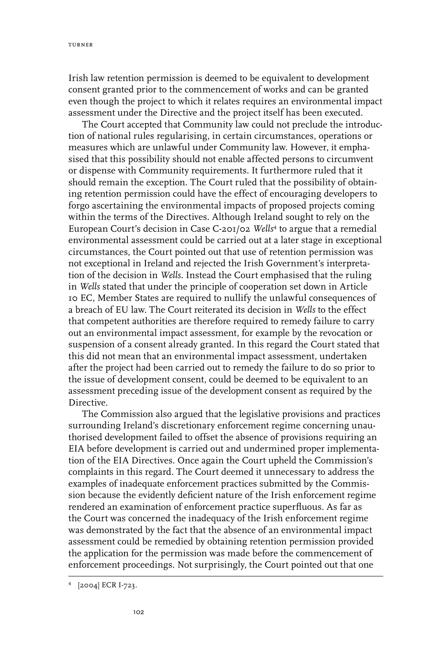Irish law retention permission is deemed to be equivalent to development consent granted prior to the commencement of works and can be granted even though the project to which it relates requires an environmental impact assessment under the Directive and the project itself has been executed.

The Court accepted that Community law could not preclude the introduction of national rules regularising, in certain circumstances, operations or measures which are unlawful under Community law. However, it emphasised that this possibility should not enable affected persons to circumvent or dispense with Community requirements. It furthermore ruled that it should remain the exception. The Court ruled that the possibility of obtaining retention permission could have the effect of encouraging developers to forgo ascertaining the environmental impacts of proposed projects coming within the terms of the Directives. Although Ireland sought to rely on the European Court's decision in Case C-201/02 *Wells*<sup>4</sup> to argue that a remedial environmental assessment could be carried out at a later stage in exceptional circumstances, the Court pointed out that use of retention permission was not exceptional in Ireland and rejected the Irish Government's interpretation of the decision in *Wells.* Instead the Court emphasised that the ruling in *Wells* stated that under the principle of cooperation set down in Article 10 EC, Member States are required to nullify the unlawful consequences of a breach of EU law. The Court reiterated its decision in *Wells* to the effect that competent authorities are therefore required to remedy failure to carry out an environmental impact assessment, for example by the revocation or suspension of a consent already granted. In this regard the Court stated that this did not mean that an environmental impact assessment, undertaken after the project had been carried out to remedy the failure to do so prior to the issue of development consent, could be deemed to be equivalent to an assessment preceding issue of the development consent as required by the Directive.

The Commission also argued that the legislative provisions and practices surrounding Ireland's discretionary enforcement regime concerning unauthorised development failed to offset the absence of provisions requiring an EIA before development is carried out and undermined proper implementation of the EIA Directives. Once again the Court upheld the Commission's complaints in this regard. The Court deemed it unnecessary to address the examples of inadequate enforcement practices submitted by the Commission because the evidently deficient nature of the Irish enforcement regime rendered an examination of enforcement practice superfluous. As far as the Court was concerned the inadequacy of the Irish enforcement regime was demonstrated by the fact that the absence of an environmental impact assessment could be remedied by obtaining retention permission provided the application for the permission was made before the commencement of enforcement proceedings. Not surprisingly, the Court pointed out that one

<sup>4</sup> [2004] ECR I-723.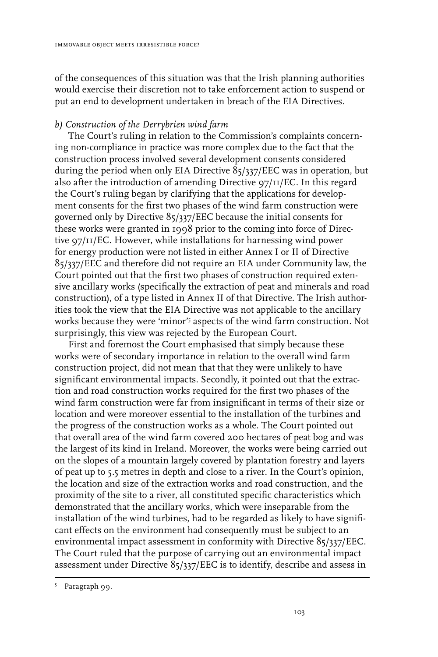of the consequences of this situation was that the Irish planning authorities would exercise their discretion not to take enforcement action to suspend or put an end to development undertaken in breach of the EIA Directives.

#### *b) Construction of the Derrybrien wind farm*

The Court's ruling in relation to the Commission's complaints concerning non-compliance in practice was more complex due to the fact that the construction process involved several development consents considered during the period when only EIA Directive 85/337/EEC was in operation, but also after the introduction of amending Directive 97/11/EC. In this regard the Court's ruling began by clarifying that the applications for development consents for the first two phases of the wind farm construction were governed only by Directive  $85/337/EEC$  because the initial consents for these works were granted in 1998 prior to the coming into force of Directive 97/11/EC. However, while installations for harnessing wind power for energy production were not listed in either Annex I or II of Directive 85/337/EEC and therefore did not require an EIA under Community law, the Court pointed out that the first two phases of construction required extensive ancillary works (specifically the extraction of peat and minerals and road construction), of a type listed in Annex II of that Directive. The Irish authorities took the view that the EIA Directive was not applicable to the ancillary works because they were 'minor'5 aspects of the wind farm construction. Not surprisingly, this view was rejected by the European Court.

First and foremost the Court emphasised that simply because these works were of secondary importance in relation to the overall wind farm construction project, did not mean that that they were unlikely to have significant environmental impacts. Secondly, it pointed out that the extraction and road construction works required for the first two phases of the wind farm construction were far from insignificant in terms of their size or location and were moreover essential to the installation of the turbines and the progress of the construction works as a whole. The Court pointed out that overall area of the wind farm covered 200 hectares of peat bog and was the largest of its kind in Ireland. Moreover, the works were being carried out on the slopes of a mountain largely covered by plantation forestry and layers of peat up to 5.5 metres in depth and close to a river. In the Court's opinion, the location and size of the extraction works and road construction, and the proximity of the site to a river, all constituted specific characteristics which demonstrated that the ancillary works, which were inseparable from the installation of the wind turbines, had to be regarded as likely to have significant effects on the environment had consequently must be subject to an environmental impact assessment in conformity with Directive 85/337/EEC. The Court ruled that the purpose of carrying out an environmental impact assessment under Directive 85/337/EEC is to identify, describe and assess in

<sup>5</sup> Paragraph 99.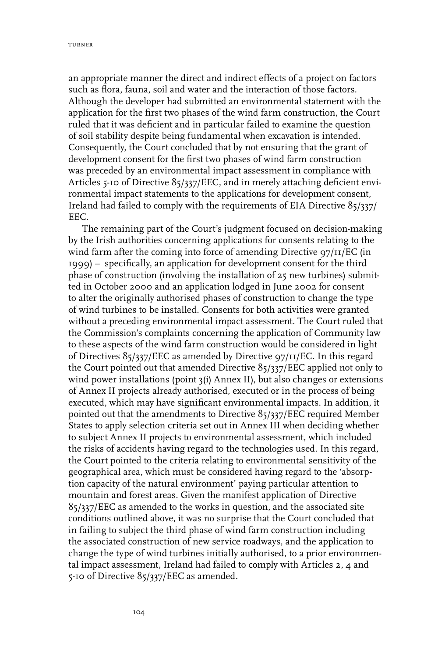an appropriate manner the direct and indirect effects of a project on factors such as flora, fauna, soil and water and the interaction of those factors. Although the developer had submitted an environmental statement with the application for the first two phases of the wind farm construction, the Court ruled that it was deficient and in particular failed to examine the question of soil stability despite being fundamental when excavation is intended. Consequently, the Court concluded that by not ensuring that the grant of development consent for the first two phases of wind farm construction was preceded by an environmental impact assessment in compliance with Articles 5-10 of Directive 85/337/EEC, and in merely attaching deficient environmental impact statements to the applications for development consent, Ireland had failed to comply with the requirements of EIA Directive 85/337/ EEC.

The remaining part of the Court's judgment focused on decision-making by the Irish authorities concerning applications for consents relating to the wind farm after the coming into force of amending Directive 97/11/EC (in 1999) – specifically, an application for development consent for the third phase of construction (involving the installation of 25 new turbines) submitted in October 2000 and an application lodged in June 2002 for consent to alter the originally authorised phases of construction to change the type of wind turbines to be installed. Consents for both activities were granted without a preceding environmental impact assessment. The Court ruled that the Commission's complaints concerning the application of Community law to these aspects of the wind farm construction would be considered in light of Directives 85/337/EEC as amended by Directive 97/11/EC. In this regard the Court pointed out that amended Directive 85/337/EEC applied not only to wind power installations (point 3(i) Annex II), but also changes or extensions of Annex II projects already authorised, executed or in the process of being executed, which may have significant environmental impacts. In addition, it pointed out that the amendments to Directive 85/337/EEC required Member States to apply selection criteria set out in Annex III when deciding whether to subject Annex II projects to environmental assessment, which included the risks of accidents having regard to the technologies used. In this regard, the Court pointed to the criteria relating to environmental sensitivity of the geographical area, which must be considered having regard to the 'absorption capacity of the natural environment' paying particular attention to mountain and forest areas. Given the manifest application of Directive 85/337/EEC as amended to the works in question, and the associated site conditions outlined above, it was no surprise that the Court concluded that in failing to subject the third phase of wind farm construction including the associated construction of new service roadways, and the application to change the type of wind turbines initially authorised, to a prior environmental impact assessment, Ireland had failed to comply with Articles 2, 4 and 5-10 of Directive 85/337/EEC as amended.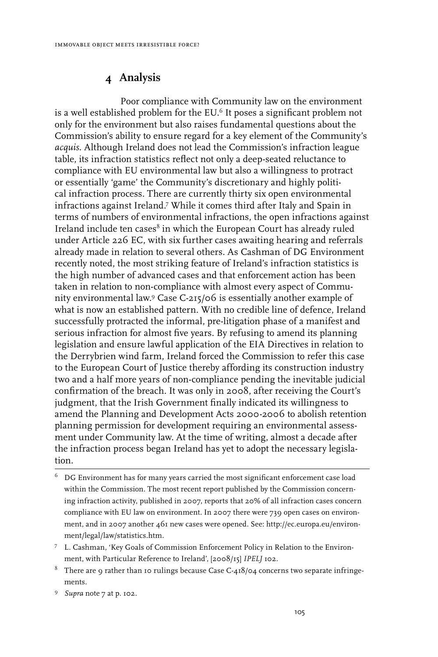### **4 Analysis**

Poor compliance with Community law on the environment is a well established problem for the EU.6 It poses a significant problem not only for the environment but also raises fundamental questions about the Commission's ability to ensure regard for a key element of the Community's *acquis*. Although Ireland does not lead the Commission's infraction league table, its infraction statistics reflect not only a deep-seated reluctance to compliance with EU environmental law but also a willingness to protract or essentially 'game' the Community's discretionary and highly political infraction process. There are currently thirty six open environmental infractions against Ireland.7 While it comes third after Italy and Spain in terms of numbers of environmental infractions, the open infractions against Ireland include ten cases $^{\rm 8}$  in which the European Court has already ruled under Article 226 EC, with six further cases awaiting hearing and referrals already made in relation to several others. As Cashman of DG Environment recently noted, the most striking feature of Ireland's infraction statistics is the high number of advanced cases and that enforcement action has been taken in relation to non-compliance with almost every aspect of Community environmental law.9 Case C-215/06 is essentially another example of what is now an established pattern. With no credible line of defence, Ireland successfully protracted the informal, pre-litigation phase of a manifest and serious infraction for almost five years. By refusing to amend its planning legislation and ensure lawful application of the EIA Directives in relation to the Derrybrien wind farm, Ireland forced the Commission to refer this case to the European Court of Justice thereby affording its construction industry two and a half more years of non-compliance pending the inevitable judicial confirmation of the breach. It was only in 2008, after receiving the Court's judgment, that the Irish Government finally indicated its willingness to amend the Planning and Development Acts 2000-2006 to abolish retention planning permission for development requiring an environmental assessment under Community law. At the time of writing, almost a decade after the infraction process began Ireland has yet to adopt the necessary legislation.

- $^6$   $\,$  DG Environment has for many years carried the most significant enforcement case load within the Commission. The most recent report published by the Commission concerning infraction activity, published in 2007, reports that 20% of all infraction cases concern compliance with EU law on environment. In 2007 there were 739 open cases on environment, and in 2007 another 461 new cases were opened. See: http://ec.europa.eu/environment/legal/law/statistics.htm.
- 7 L. Cashman, 'Key Goals of Commission Enforcement Policy in Relation to the Environment, with Particular Reference to Ireland', [2008/15] *IPELJ* 102.
- <sup>8</sup> There are 9 rather than 10 rulings because Case C-418/04 concerns two separate infringements.
- 9 *Supra* note 7 at p. 102.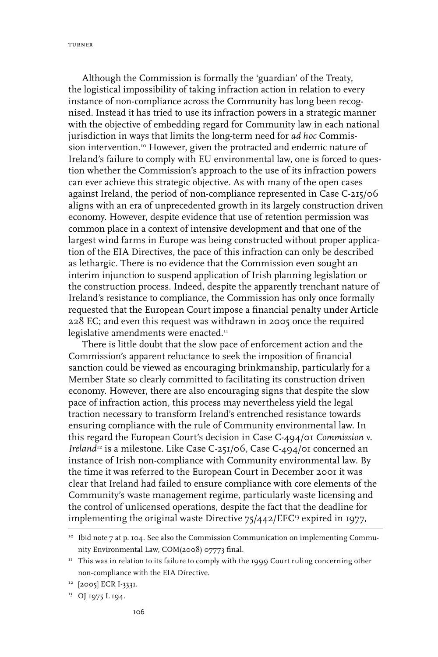Although the Commission is formally the 'guardian' of the Treaty, the logistical impossibility of taking infraction action in relation to every instance of non-compliance across the Community has long been recognised. Instead it has tried to use its infraction powers in a strategic manner with the objective of embedding regard for Community law in each national jurisdiction in ways that limits the long-term need for *ad hoc* Commission intervention.<sup>10</sup> However, given the protracted and endemic nature of Ireland's failure to comply with EU environmental law, one is forced to question whether the Commission's approach to the use of its infraction powers can ever achieve this strategic objective. As with many of the open cases against Ireland, the period of non-compliance represented in Case C-215/06 aligns with an era of unprecedented growth in its largely construction driven economy. However, despite evidence that use of retention permission was common place in a context of intensive development and that one of the largest wind farms in Europe was being constructed without proper application of the EIA Directives, the pace of this infraction can only be described as lethargic. There is no evidence that the Commission even sought an interim injunction to suspend application of Irish planning legislation or the construction process. Indeed, despite the apparently trenchant nature of Ireland's resistance to compliance, the Commission has only once formally requested that the European Court impose a financial penalty under Article 228 EC; and even this request was withdrawn in 2005 once the required legislative amendments were enacted.<sup>11</sup>

There is little doubt that the slow pace of enforcement action and the Commission's apparent reluctance to seek the imposition of financial sanction could be viewed as encouraging brinkmanship, particularly for a Member State so clearly committed to facilitating its construction driven economy. However, there are also encouraging signs that despite the slow pace of infraction action, this process may nevertheless yield the legal traction necessary to transform Ireland's entrenched resistance towards ensuring compliance with the rule of Community environmental law. In this regard the European Court's decision in Case C-494/01 *Commission* v. *Ireland*<sup>12</sup> is a milestone. Like Case C-251/06, Case C-494/01 concerned an instance of Irish non-compliance with Community environmental law. By the time it was referred to the European Court in December 2001 it was clear that Ireland had failed to ensure compliance with core elements of the Community's waste management regime, particularly waste licensing and the control of unlicensed operations, despite the fact that the deadline for implementing the original waste Directive 75/442/EEC<sup>13</sup> expired in 1977,

<sup>&</sup>lt;sup>10</sup> Ibid note 7 at p. 104. See also the Commission Communication on implementing Community Environmental Law, COM(2008) 07773 final.

 $11$  This was in relation to its failure to comply with the 1999 Court ruling concerning other non-compliance with the EIA Directive.

<sup>&</sup>lt;sup>12</sup> [2005] ECR I-3331.

<sup>&</sup>lt;sup>13</sup> OJ 1975 L 194.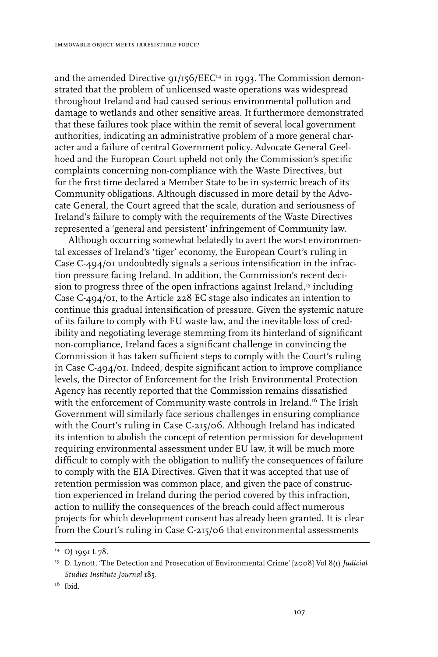and the amended Directive  $q_I/I56/EEC^{I4}$  in 1993. The Commission demonstrated that the problem of unlicensed waste operations was widespread throughout Ireland and had caused serious environmental pollution and damage to wetlands and other sensitive areas. It furthermore demonstrated that these failures took place within the remit of several local government authorities, indicating an administrative problem of a more general character and a failure of central Government policy. Advocate General Geelhoed and the European Court upheld not only the Commission's specific complaints concerning non-compliance with the Waste Directives, but for the first time declared a Member State to be in systemic breach of its Community obligations. Although discussed in more detail by the Advocate General, the Court agreed that the scale, duration and seriousness of Ireland's failure to comply with the requirements of the Waste Directives represented a 'general and persistent' infringement of Community law.

Although occurring somewhat belatedly to avert the worst environmental excesses of Ireland's 'tiger' economy, the European Court's ruling in Case C-494/01 undoubtedly signals a serious intensification in the infraction pressure facing Ireland. In addition, the Commission's recent decision to progress three of the open infractions against Ireland,<sup>15</sup> including Case C-494/01, to the Article 228 EC stage also indicates an intention to continue this gradual intensification of pressure. Given the systemic nature of its failure to comply with EU waste law, and the inevitable loss of credibility and negotiating leverage stemming from its hinterland of significant non-compliance, Ireland faces a significant challenge in convincing the Commission it has taken sufficient steps to comply with the Court's ruling in Case C-494/01. Indeed, despite significant action to improve compliance levels, the Director of Enforcement for the Irish Environmental Protection Agency has recently reported that the Commission remains dissatisfied with the enforcement of Community waste controls in Ireland.<sup>16</sup> The Irish Government will similarly face serious challenges in ensuring compliance with the Court's ruling in Case C-215/06. Although Ireland has indicated its intention to abolish the concept of retention permission for development requiring environmental assessment under EU law, it will be much more difficult to comply with the obligation to nullify the consequences of failure to comply with the EIA Directives. Given that it was accepted that use of retention permission was common place, and given the pace of construction experienced in Ireland during the period covered by this infraction, action to nullify the consequences of the breach could affect numerous projects for which development consent has already been granted. It is clear from the Court's ruling in Case C-215/06 that environmental assessments

<sup>&</sup>lt;sup>14</sup> OJ 1991 L 78.

<sup>15</sup> D. Lynott, 'The Detection and Prosecution of Environmental Crime' [2008] Vol 8(1) *Judicial Studies Institute Journal* 185.

 $16$  Ibid.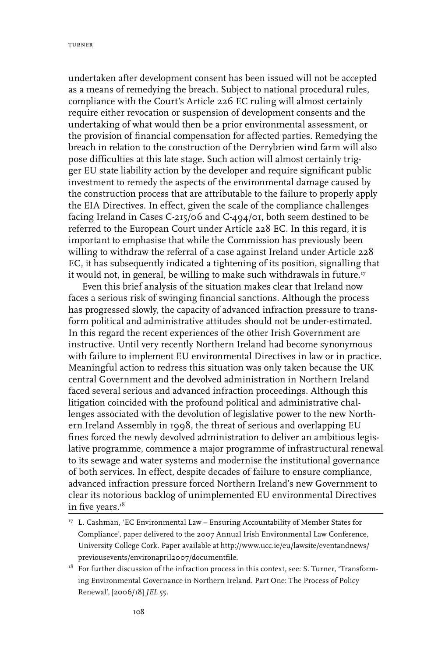undertaken after development consent has been issued will not be accepted as a means of remedying the breach. Subject to national procedural rules, compliance with the Court's Article 226 EC ruling will almost certainly require either revocation or suspension of development consents and the undertaking of what would then be a prior environmental assessment, or the provision of financial compensation for affected parties. Remedying the breach in relation to the construction of the Derrybrien wind farm will also pose difficulties at this late stage. Such action will almost certainly trigger EU state liability action by the developer and require significant public investment to remedy the aspects of the environmental damage caused by the construction process that are attributable to the failure to properly apply the EIA Directives. In effect, given the scale of the compliance challenges facing Ireland in Cases C-215/06 and C-494/01, both seem destined to be referred to the European Court under Article 228 EC. In this regard, it is important to emphasise that while the Commission has previously been willing to withdraw the referral of a case against Ireland under Article 228 EC, it has subsequently indicated a tightening of its position, signalling that it would not, in general, be willing to make such withdrawals in future.<sup>17</sup>

Even this brief analysis of the situation makes clear that Ireland now faces a serious risk of swinging financial sanctions. Although the process has progressed slowly, the capacity of advanced infraction pressure to transform political and administrative attitudes should not be under-estimated. In this regard the recent experiences of the other Irish Government are instructive. Until very recently Northern Ireland had become synonymous with failure to implement EU environmental Directives in law or in practice. Meaningful action to redress this situation was only taken because the UK central Government and the devolved administration in Northern Ireland faced several serious and advanced infraction proceedings. Although this litigation coincided with the profound political and administrative challenges associated with the devolution of legislative power to the new Northern Ireland Assembly in 1998, the threat of serious and overlapping EU fines forced the newly devolved administration to deliver an ambitious legislative programme, commence a major programme of infrastructural renewal to its sewage and water systems and modernise the institutional governance of both services. In effect, despite decades of failure to ensure compliance, advanced infraction pressure forced Northern Ireland's new Government to clear its notorious backlog of unimplemented EU environmental Directives in five years.<sup>18</sup>

<sup>&</sup>lt;sup>17</sup> L. Cashman, 'EC Environmental Law - Ensuring Accountability of Member States for Compliance', paper delivered to the 2007 Annual Irish Environmental Law Conference, University College Cork. Paper available at http://www.ucc.ie/eu/lawsite/eventandnews/ previousevents/environapril2007/documentfile.

<sup>&</sup>lt;sup>18</sup> For further discussion of the infraction process in this context, see: S. Turner, 'Transforming Environmental Governance in Northern Ireland. Part One: The Process of Policy Renewal', [2006/18] *JEL* 55.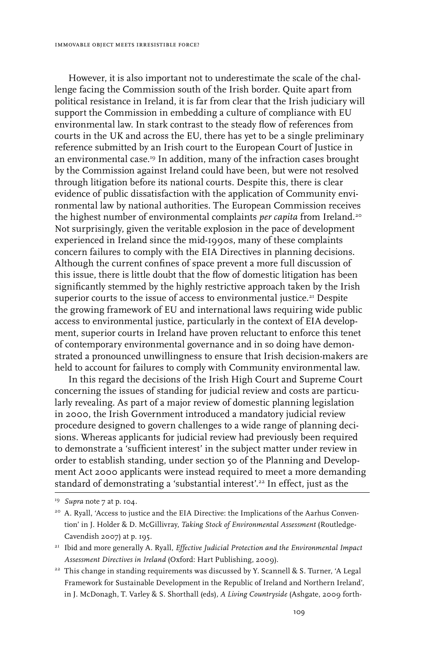However, it is also important not to underestimate the scale of the challenge facing the Commission south of the Irish border. Quite apart from political resistance in Ireland, it is far from clear that the Irish judiciary will support the Commission in embedding a culture of compliance with EU environmental law. In stark contrast to the steady flow of references from courts in the UK and across the EU, there has yet to be a single preliminary reference submitted by an Irish court to the European Court of Justice in an environmental case.<sup>19</sup> In addition, many of the infraction cases brought by the Commission against Ireland could have been, but were not resolved through litigation before its national courts. Despite this, there is clear evidence of public dissatisfaction with the application of Community environmental law by national authorities. The European Commission receives the highest number of environmental complaints *per capita* from Ireland.<sup>20</sup> Not surprisingly, given the veritable explosion in the pace of development experienced in Ireland since the mid-1990s, many of these complaints concern failures to comply with the EIA Directives in planning decisions. Although the current confines of space prevent a more full discussion of this issue, there is little doubt that the flow of domestic litigation has been significantly stemmed by the highly restrictive approach taken by the Irish superior courts to the issue of access to environmental justice.<sup>21</sup> Despite the growing framework of EU and international laws requiring wide public access to environmental justice, particularly in the context of EIA development, superior courts in Ireland have proven reluctant to enforce this tenet of contemporary environmental governance and in so doing have demonstrated a pronounced unwillingness to ensure that Irish decision-makers are held to account for failures to comply with Community environmental law.

In this regard the decisions of the Irish High Court and Supreme Court concerning the issues of standing for judicial review and costs are particularly revealing. As part of a major review of domestic planning legislation in 2000, the Irish Government introduced a mandatory judicial review procedure designed to govern challenges to a wide range of planning decisions. Whereas applicants for judicial review had previously been required to demonstrate a 'sufficient interest' in the subject matter under review in order to establish standing, under section 50 of the Planning and Development Act 2000 applicants were instead required to meet a more demanding standard of demonstrating a 'substantial interest'.<sup>22</sup> In effect, just as the

- 21 Ibid and more generally A. Ryall, *Effective Judicial Protection and the Environmental Impact Assessment Directives in Ireland* (Oxford: Hart Publishing, 2009).
- <sup>22</sup> This change in standing requirements was discussed by Y. Scannell & S. Turner, 'A Legal Framework for Sustainable Development in the Republic of Ireland and Northern Ireland', in J. McDonagh, T. Varley & S. Shorthall (eds)*, A Living Countryside* (Ashgate, 2009 forth-

<sup>19</sup> *Supra* note 7 at p. 104.

<sup>&</sup>lt;sup>20</sup> A. Ryall, 'Access to justice and the EIA Directive: the Implications of the Aarhus Convention' in J. Holder & D. McGillivray, *Taking Stock of Environmental Assessment* (Routledge-Cavendish 2007) at p. 195.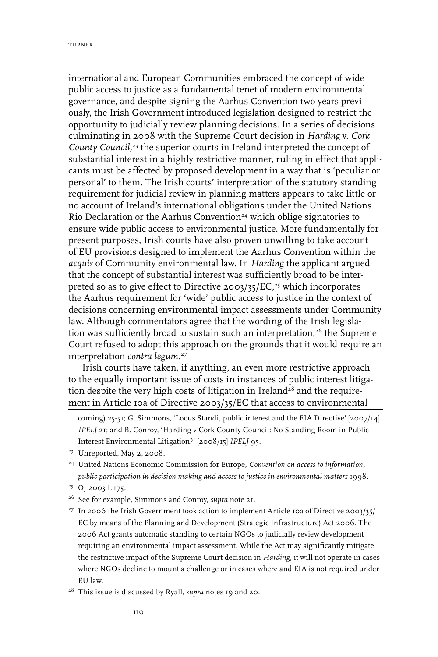international and European Communities embraced the concept of wide public access to justice as a fundamental tenet of modern environmental governance, and despite signing the Aarhus Convention two years previously, the Irish Government introduced legislation designed to restrict the opportunity to judicially review planning decisions. In a series of decisions culminating in 2008 with the Supreme Court decision in *Harding* v. *Cork County Council,*23 the superior courts in Ireland interpreted the concept of substantial interest in a highly restrictive manner, ruling in effect that applicants must be affected by proposed development in a way that is 'peculiar or personal' to them. The Irish courts' interpretation of the statutory standing requirement for judicial review in planning matters appears to take little or no account of Ireland's international obligations under the United Nations Rio Declaration or the Aarhus Convention<sup>24</sup> which oblige signatories to ensure wide public access to environmental justice. More fundamentally for present purposes, Irish courts have also proven unwilling to take account of EU provisions designed to implement the Aarhus Convention within the *acquis* of Community environmental law. In *Harding* the applicant argued that the concept of substantial interest was sufficiently broad to be interpreted so as to give effect to Directive 2003/35/EC,<sup>25</sup> which incorporates the Aarhus requirement for 'wide' public access to justice in the context of decisions concerning environmental impact assessments under Community law. Although commentators agree that the wording of the Irish legislation was sufficiently broad to sustain such an interpretation,<sup>26</sup> the Supreme Court refused to adopt this approach on the grounds that it would require an interpretation *contra legum.*<sup>27</sup>

Irish courts have taken, if anything, an even more restrictive approach to the equally important issue of costs in instances of public interest litigation despite the very high costs of litigation in Ireland<sup>28</sup> and the requirement in Article 10a of Directive 2003/35/EC that access to environmental

coming) 25-51; G. Simmons, 'Locus Standi, public interest and the EIA Directive' [2007/14] *IPELJ* 21; and B. Conroy, 'Harding v Cork County Council: No Standing Room in Public Interest Environmental Litigation?' [2008/15] *IPELJ* 95.

- <sup>23</sup> Unreported, May 2, 2008.
- 24 United Nations Economic Commission for Europe, *Convention on access to information, public participation in decision making and access to justice in environmental matters* 1998.
- <sup>25</sup> OJ 2003 L 175.
- 26 See for example, Simmons and Conroy, *supra* note 21.
- <sup>27</sup> In 2006 the Irish Government took action to implement Article 10a of Directive 2003/35/ EC by means of the Planning and Development (Strategic Infrastructure) Act 2006. The 2006 Act grants automatic standing to certain NGOs to judicially review development requiring an environmental impact assessment. While the Act may significantly mitigate the restrictive impact of the Supreme Court decision in *Harding*, it will not operate in cases where NGOs decline to mount a challenge or in cases where and EIA is not required under EU law.
- 28 This issue is discussed by Ryall, *supra* notes 19 and 20.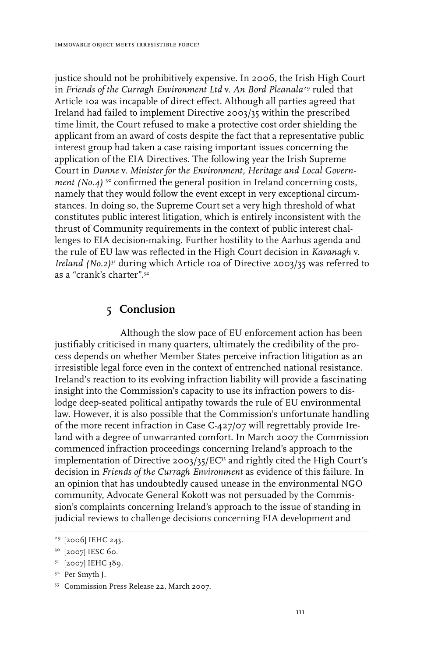justice should not be prohibitively expensive. In 2006, the Irish High Court in *Friends of the Curragh Environment Ltd* v. *An Bord Pleanala*<sup>29</sup> ruled that Article 10a was incapable of direct effect. Although all parties agreed that Ireland had failed to implement Directive 2003/35 within the prescribed time limit, the Court refused to make a protective cost order shielding the applicant from an award of costs despite the fact that a representative public interest group had taken a case raising important issues concerning the application of the EIA Directives. The following year the Irish Supreme Court in *Dunne* v. *Minister for the Environment, Heritage and Local Government*  $(No.4)$ <sup>30</sup> confirmed the general position in Ireland concerning costs, namely that they would follow the event except in very exceptional circumstances. In doing so, the Supreme Court set a very high threshold of what constitutes public interest litigation, which is entirely inconsistent with the thrust of Community requirements in the context of public interest challenges to EIA decision-making. Further hostility to the Aarhus agenda and the rule of EU law was reflected in the High Court decision in *Kavanagh* v. *Ireland (No.2)*31 during which Article 10a of Directive 2003/35 was referred to as a "crank's charter".32

## **5 Conclusion**

Although the slow pace of EU enforcement action has been justifiably criticised in many quarters, ultimately the credibility of the process depends on whether Member States perceive infraction litigation as an irresistible legal force even in the context of entrenched national resistance. Ireland's reaction to its evolving infraction liability will provide a fascinating insight into the Commission's capacity to use its infraction powers to dislodge deep-seated political antipathy towards the rule of EU environmental law. However, it is also possible that the Commission's unfortunate handling of the more recent infraction in Case C-427/07 will regrettably provide Ireland with a degree of unwarranted comfort. In March 2007 the Commission commenced infraction proceedings concerning Ireland's approach to the implementation of Directive 2003/35/EC33 and rightly cited the High Court's decision in *Friends of the Curragh Environment* as evidence of this failure. In an opinion that has undoubtedly caused unease in the environmental NGO community, Advocate General Kokott was not persuaded by the Commission's complaints concerning Ireland's approach to the issue of standing in judicial reviews to challenge decisions concerning EIA development and

<sup>29 [2006]</sup> IEHC 243.

<sup>30 [2007]</sup> IESC 60.

 $31$  [2007] IEHC 389.

<sup>32</sup> Per Smyth J.

<sup>33</sup> Commission Press Release 22, March 2007.